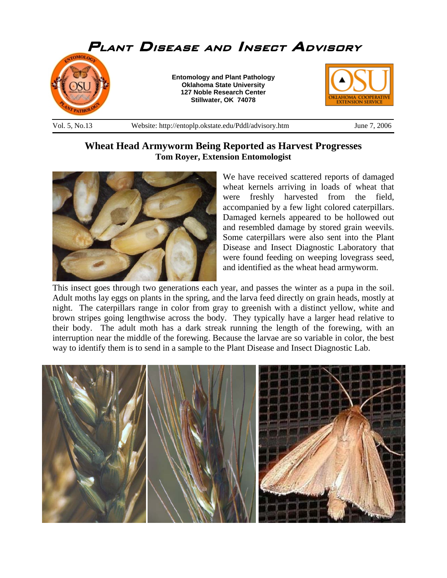

## **Wheat Head Armyworm Being Reported as Harvest Progresses Tom Royer, Extension Entomologist**



We have received scattered reports of damaged wheat kernels arriving in loads of wheat that were freshly harvested from the field, accompanied by a few light colored caterpillars. Damaged kernels appeared to be hollowed out and resembled damage by stored grain weevils. Some caterpillars were also sent into the Plant Disease and Insect Diagnostic Laboratory that were found feeding on weeping lovegrass seed, and identified as the wheat head armyworm.

This insect goes through two generations each year, and passes the winter as a pupa in the soil. Adult moths lay eggs on plants in the spring, and the larva feed directly on grain heads, mostly at night. The caterpillars range in color from gray to greenish with a distinct yellow, white and brown stripes going lengthwise across the body. They typically have a larger head relative to their body. The adult moth has a dark streak running the length of the forewing, with an interruption near the middle of the forewing. Because the larvae are so variable in color, the best way to identify them is to send in a sample to the Plant Disease and Insect Diagnostic Lab.